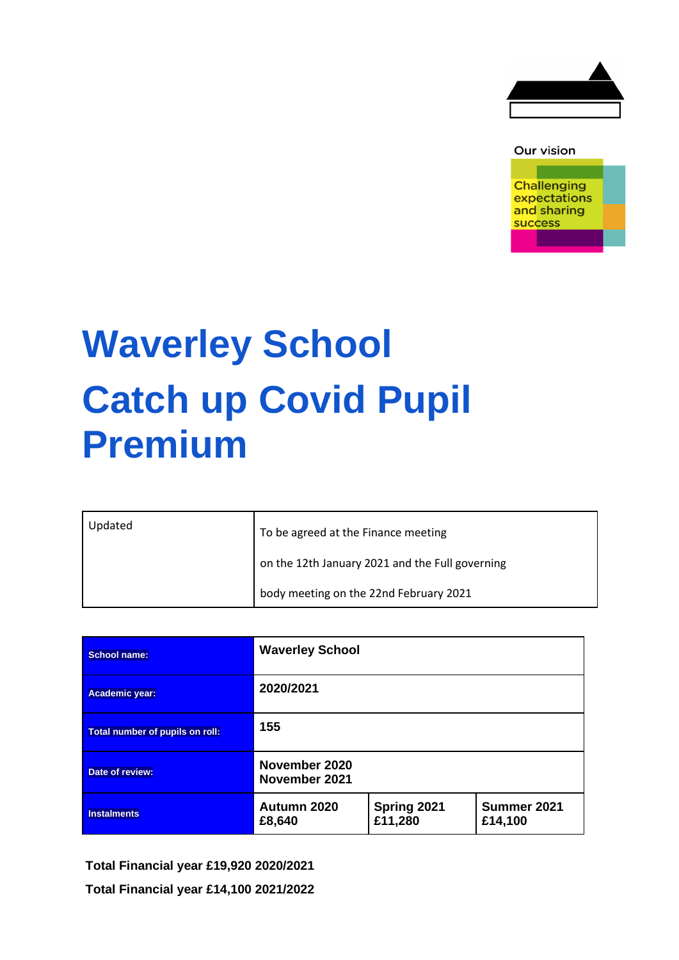

### Our vision

**Challenging** expectations and sharing success

# **Waverley School Catch up Covid Pupil Premium**

| Updated | To be agreed at the Finance meeting             |
|---------|-------------------------------------------------|
|         | on the 12th January 2021 and the Full governing |
|         | body meeting on the 22nd February 2021          |

| School name:                    | <b>Waverley School</b>         |                        |                        |  |  |
|---------------------------------|--------------------------------|------------------------|------------------------|--|--|
| Academic year:                  | 2020/2021                      |                        |                        |  |  |
| Total number of pupils on roll: | 155                            |                        |                        |  |  |
| Date of review:                 | November 2020<br>November 2021 |                        |                        |  |  |
| <b>Instalments</b>              | Autumn 2020<br>£8,640          | Spring 2021<br>£11,280 | Summer 2021<br>£14,100 |  |  |

**Total Financial year £19,920 2020/2021**

**Total Financial year £14,100 2021/2022**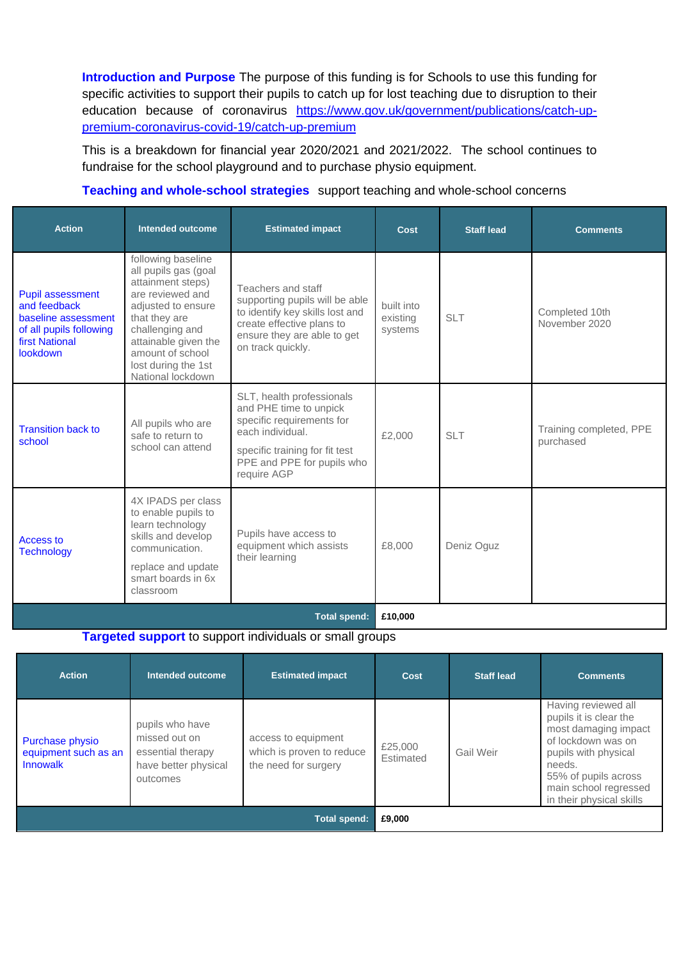**Introduction and Purpose** The purpose of this funding is for Schools to use this funding for specific activities to support their pupils to catch up for lost teaching due to disruption to their education because of coronavirus [https://www.gov.uk/government/publications/catch-up](https://www.gov.uk/government/publications/catch-up-premium-coronavirus-covid-19/catch-up-premium)[premium-coronavirus-covid-19/catch-up-premium](https://www.gov.uk/government/publications/catch-up-premium-coronavirus-covid-19/catch-up-premium)

This is a breakdown for financial year 2020/2021 and 2021/2022. The school continues to fundraise for the school playground and to purchase physio equipment.

## **Teaching and whole-school strategies** support teaching and whole-school concerns

| <b>Action</b>                                                                                                                  | <b>Intended outcome</b>                                                                                                                                                                                                               | <b>Estimated impact</b>                                                                                                                                                             | <b>Cost</b>                       | <b>Staff lead</b> | <b>Comments</b>                      |  |
|--------------------------------------------------------------------------------------------------------------------------------|---------------------------------------------------------------------------------------------------------------------------------------------------------------------------------------------------------------------------------------|-------------------------------------------------------------------------------------------------------------------------------------------------------------------------------------|-----------------------------------|-------------------|--------------------------------------|--|
| <b>Pupil assessment</b><br>and feedback<br>baseline assessment<br>of all pupils following<br><b>first National</b><br>lookdown | following baseline<br>all pupils gas (goal<br>attainment steps)<br>are reviewed and<br>adjusted to ensure<br>that they are<br>challenging and<br>attainable given the<br>amount of school<br>lost during the 1st<br>National lockdown | Teachers and staff<br>supporting pupils will be able<br>to identify key skills lost and<br>create effective plans to<br>ensure they are able to get<br>on track quickly.            | built into<br>existing<br>systems | <b>SLT</b>        | Completed 10th<br>November 2020      |  |
| <b>Transition back to</b><br>school                                                                                            | All pupils who are<br>safe to return to<br>school can attend                                                                                                                                                                          | SLT, health professionals<br>and PHE time to unpick<br>specific requirements for<br>each individual.<br>specific training for fit test<br>PPE and PPE for pupils who<br>require AGP | £2,000                            | <b>SLT</b>        | Training completed, PPE<br>purchased |  |
| Access to<br><b>Technology</b>                                                                                                 | 4X IPADS per class<br>to enable pupils to<br>learn technology<br>skills and develop<br>communication.<br>replace and update<br>smart boards in 6x<br>classroom                                                                        | Pupils have access to<br>equipment which assists<br>their learning                                                                                                                  | £8,000                            | Deniz Oguz        |                                      |  |
| <b>Total spend:</b>                                                                                                            |                                                                                                                                                                                                                                       |                                                                                                                                                                                     | £10,000                           |                   |                                      |  |

**Targeted support** to support individuals or small groups

| <b>Action</b>                                       | Intended outcome                                                                          | <b>Estimated impact</b>                                                  | Cost                 | <b>Staff lead</b> | <b>Comments</b>                                                                                                                                                                                            |
|-----------------------------------------------------|-------------------------------------------------------------------------------------------|--------------------------------------------------------------------------|----------------------|-------------------|------------------------------------------------------------------------------------------------------------------------------------------------------------------------------------------------------------|
| Purchase physio<br>equipment such as an<br>Innowalk | pupils who have<br>missed out on<br>essential therapy<br>have better physical<br>outcomes | access to equipment<br>which is proven to reduce<br>the need for surgery | £25,000<br>Estimated | Gail Weir         | Having reviewed all<br>pupils it is clear the<br>most damaging impact<br>of lockdown was on<br>pupils with physical<br>needs.<br>55% of pupils across<br>main school regressed<br>in their physical skills |
| <b>Total spend:</b>                                 |                                                                                           |                                                                          | £9,000               |                   |                                                                                                                                                                                                            |